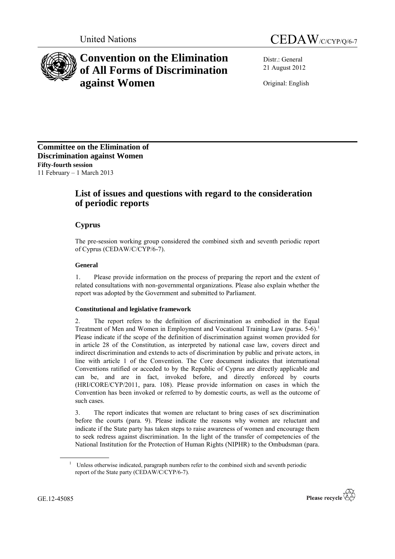



# **Convention on the Elimination of All Forms of Discrimination against Women**

Distr.: General 21 August 2012

Original: English

**Committee on the Elimination of Discrimination against Women Fifty-fourth session** 11 February – 1 March 2013

# **List of issues and questions with regard to the consideration of periodic reports**

# **Cyprus**

The pre-session working group considered the combined sixth and seventh periodic report of Cyprus (CEDAW/C/CYP/6-7).

## **General**

1. Please provide information on the process of preparing the report and the extent of related consultations with non-governmental organizations. Please also explain whether the report was adopted by the Government and submitted to Parliament.

## **Constitutional and legislative framework**

2. The report refers to the definition of discrimination as embodied in the Equal Treatment of Men and Women in Employment and Vocational Training Law (paras. 5-6).<sup>1</sup> Please indicate if the scope of the definition of discrimination against women provided for in article 28 of the Constitution, as interpreted by national case law, covers direct and indirect discrimination and extends to acts of discrimination by public and private actors, in line with article 1 of the Convention. The Core document indicates that international Conventions ratified or acceded to by the Republic of Cyprus are directly applicable and can be, and are in fact, invoked before, and directly enforced by courts (HRI/CORE/CYP/2011, para. 108). Please provide information on cases in which the Convention has been invoked or referred to by domestic courts, as well as the outcome of such cases.

3. The report indicates that women are reluctant to bring cases of sex discrimination before the courts (para. 9). Please indicate the reasons why women are reluctant and indicate if the State party has taken steps to raise awareness of women and encourage them to seek redress against discrimination. In the light of the transfer of competencies of the National Institution for the Protection of Human Rights (NIPHR) to the Ombudsman (para.

<sup>&</sup>lt;sup>1</sup> Unless otherwise indicated, paragraph numbers refer to the combined sixth and seventh periodic report of the State party (CEDAW/C/CYP/6-7).

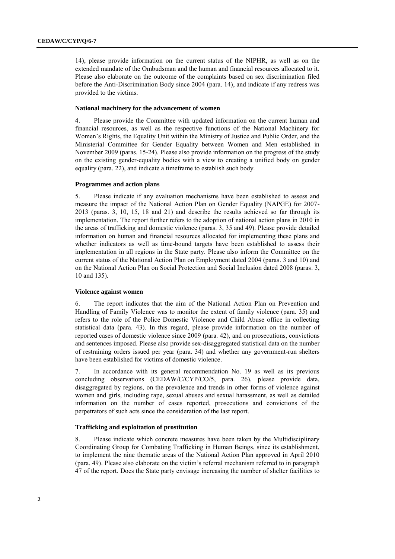14), please provide information on the current status of the NIPHR, as well as on the extended mandate of the Ombudsman and the human and financial resources allocated to it. Please also elaborate on the outcome of the complaints based on sex discrimination filed before the Anti-Discrimination Body since 2004 (para. 14), and indicate if any redress was provided to the victims.

#### **National machinery for the advancement of women**

4. Please provide the Committee with updated information on the current human and financial resources, as well as the respective functions of the National Machinery for Women's Rights, the Equality Unit within the Ministry of Justice and Public Order, and the Ministerial Committee for Gender Equality between Women and Men established in November 2009 (paras. 15-24). Please also provide information on the progress of the study on the existing gender-equality bodies with a view to creating a unified body on gender equality (para. 22), and indicate a timeframe to establish such body.

#### **Programmes and action plans**

5. Please indicate if any evaluation mechanisms have been established to assess and measure the impact of the National Action Plan on Gender Equality (NAPGE) for 2007- 2013 (paras. 3, 10, 15, 18 and 21) and describe the results achieved so far through its implementation. The report further refers to the adoption of national action plans in 2010 in the areas of trafficking and domestic violence (paras. 3, 35 and 49). Please provide detailed information on human and financial resources allocated for implementing these plans and whether indicators as well as time-bound targets have been established to assess their implementation in all regions in the State party. Please also inform the Committee on the current status of the National Action Plan on Employment dated 2004 (paras. 3 and 10) and on the National Action Plan on Social Protection and Social Inclusion dated 2008 (paras. 3, 10 and 135).

#### **Violence against women**

6. The report indicates that the aim of the National Action Plan on Prevention and Handling of Family Violence was to monitor the extent of family violence (para. 35) and refers to the role of the Police Domestic Violence and Child Abuse office in collecting statistical data (para. 43). In this regard, please provide information on the number of reported cases of domestic violence since 2009 (para. 42), and on prosecutions, convictions and sentences imposed. Please also provide sex-disaggregated statistical data on the number of restraining orders issued per year (para. 34) and whether any government-run shelters have been established for victims of domestic violence.

7. In accordance with its general recommendation No. 19 as well as its previous concluding observations (CEDAW/C/CYP/CO/5, para. 26), please provide data, disaggregated by regions, on the prevalence and trends in other forms of violence against women and girls, including rape, sexual abuses and sexual harassment, as well as detailed information on the number of cases reported, prosecutions and convictions of the perpetrators of such acts since the consideration of the last report.

#### **Trafficking and exploitation of prostitution**

8. Please indicate which concrete measures have been taken by the Multidisciplinary Coordinating Group for Combating Trafficking in Human Beings, since its establishment, to implement the nine thematic areas of the National Action Plan approved in April 2010 (para. 49). Please also elaborate on the victim's referral mechanism referred to in paragraph 47 of the report. Does the State party envisage increasing the number of shelter facilities to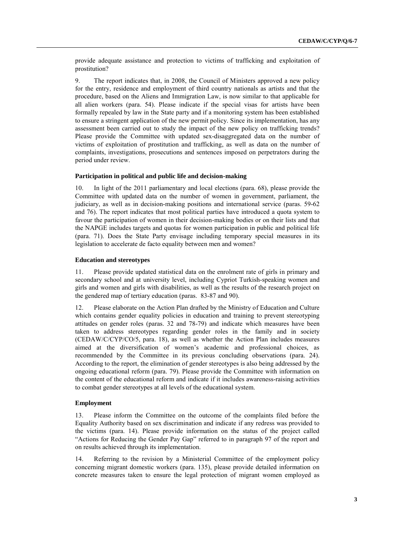provide adequate assistance and protection to victims of trafficking and exploitation of prostitution?

9. The report indicates that, in 2008, the Council of Ministers approved a new policy for the entry, residence and employment of third country nationals as artists and that the procedure, based on the Aliens and Immigration Law, is now similar to that applicable for all alien workers (para. 54). Please indicate if the special visas for artists have been formally repealed by law in the State party and if a monitoring system has been established to ensure a stringent application of the new permit policy. Since its implementation, has any assessment been carried out to study the impact of the new policy on trafficking trends? Please provide the Committee with updated sex-disaggregated data on the number of victims of exploitation of prostitution and trafficking, as well as data on the number of complaints, investigations, prosecutions and sentences imposed on perpetrators during the period under review.

#### **Participation in political and public life and decision-making**

10. In light of the 2011 parliamentary and local elections (para. 68), please provide the Committee with updated data on the number of women in government, parliament, the judiciary, as well as in decision-making positions and international service (paras. 59-62 and 76). The report indicates that most political parties have introduced a quota system to favour the participation of women in their decision-making bodies or on their lists and that the NAPGE includes targets and quotas for women participation in public and political life (para. 71). Does the State Party envisage including temporary special measures in its legislation to accelerate de facto equality between men and women?

#### **Education and stereotypes**

11. Please provide updated statistical data on the enrolment rate of girls in primary and secondary school and at university level, including Cypriot Turkish-speaking women and girls and women and girls with disabilities, as well as the results of the research project on the gendered map of tertiary education (paras. 83-87 and 90).

12. Please elaborate on the Action Plan drafted by the Ministry of Education and Culture which contains gender equality policies in education and training to prevent stereotyping attitudes on gender roles (paras. 32 and 78-79) and indicate which measures have been taken to address stereotypes regarding gender roles in the family and in society (CEDAW/C/CYP/CO/5, para. 18), as well as whether the Action Plan includes measures aimed at the diversification of women's academic and professional choices, as recommended by the Committee in its previous concluding observations (para. 24). According to the report, the elimination of gender stereotypes is also being addressed by the ongoing educational reform (para. 79). Please provide the Committee with information on the content of the educational reform and indicate if it includes awareness-raising activities to combat gender stereotypes at all levels of the educational system.

#### **Employment**

13. Please inform the Committee on the outcome of the complaints filed before the Equality Authority based on sex discrimination and indicate if any redress was provided to the victims (para. 14). Please provide information on the status of the project called "Actions for Reducing the Gender Pay Gap" referred to in paragraph 97 of the report and on results achieved through its implementation.

14. Referring to the revision by a Ministerial Committee of the employment policy concerning migrant domestic workers (para. 135), please provide detailed information on concrete measures taken to ensure the legal protection of migrant women employed as